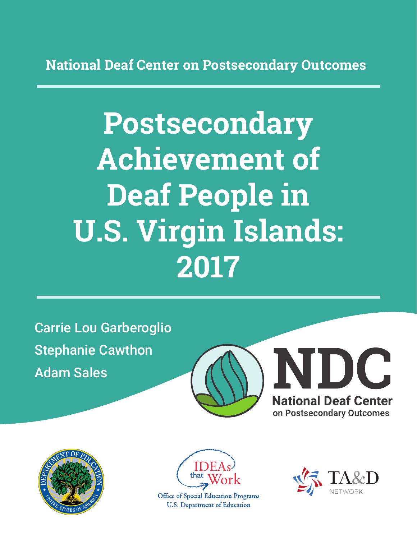**National Deaf Center on Postsecondary Outcomes**

# **Postsecondary Achievement of Deaf People in U.S. Virgin Islands: 2017**

Carrie Lou Garberoglio Stephanie Cawthon Adam Sales







**Office of Special Education Programs U.S. Department of Education** 

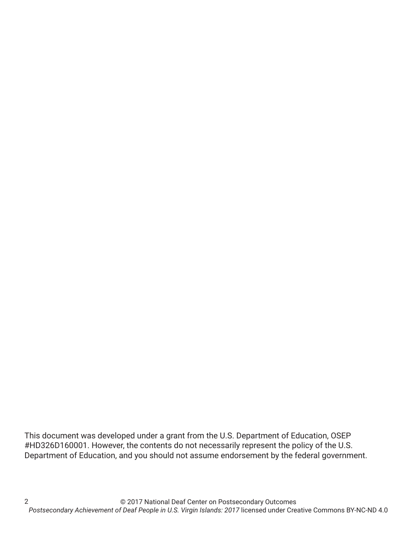This document was developed under a grant from the U.S. Department of Education, OSEP #HD326D160001. However, the contents do not necessarily represent the policy of the U.S. Department of Education, and you should not assume endorsement by the federal government.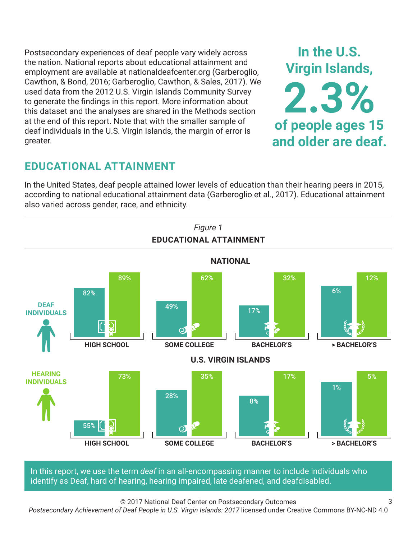Postsecondary experiences of deaf people vary widely across the nation. National reports about educational attainment and employment are available at nationaldeafcenter.org (Garberoglio, Cawthon, & Bond, 2016; Garberoglio, Cawthon, & Sales, 2017). We used data from the 2012 U.S. Virgin Islands Community Survey to generate the findings in this report. More information about this dataset and the analyses are shared in the Methods section at the end of this report. Note that with the smaller sample of deaf individuals in the U.S. Virgin Islands, the margin of error is greater.



3

## **EDUCATIONAL ATTAINMENT**

In the United States, deaf people attained lower levels of education than their hearing peers in 2015, according to national educational attainment data (Garberoglio et al., 2017). Educational attainment also varied across gender, race, and ethnicity.



In this report, we use the term *deaf* in an all-encompassing manner to include individuals who identify as Deaf, hard of hearing, hearing impaired, late deafened, and deafdisabled.

© 2017 National Deaf Center on Postsecondary Outcomes

*Postsecondary Achievement of Deaf People in U.S. Virgin Islands: 2017* licensed under Creative Commons BY-NC-ND 4.0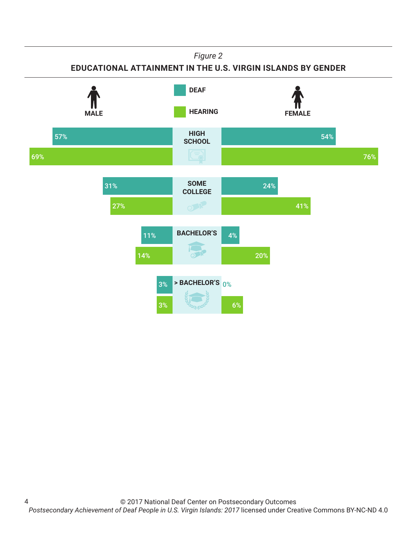*Figure 2*

**EDUCATIONAL ATTAINMENT IN THE U.S. VIRGIN ISLANDS BY GENDER**

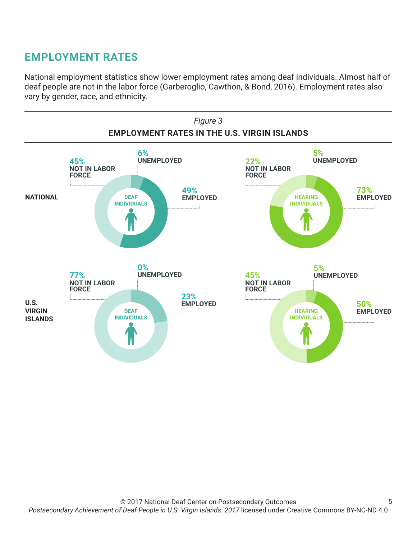## **EMPLOYMENT RATES**

National employment statistics show lower employment rates among deaf individuals. Almost half of deaf people are not in the labor force (Garberoglio, Cawthon, & Bond, 2016). Employment rates also vary by gender, race, and ethnicity.

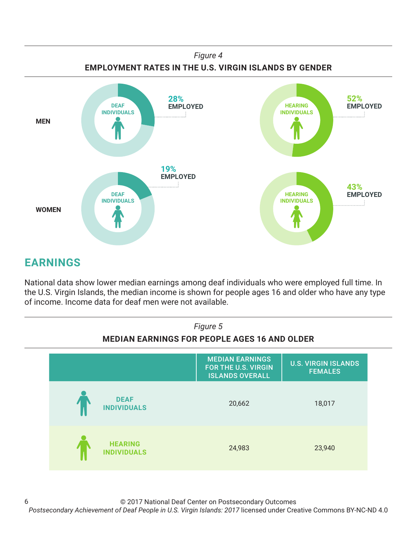

# **EARNINGS**

National data show lower median earnings among deaf individuals who were employed full time. In the U.S. Virgin Islands, the median income is shown for people ages 16 and older who have any type of income. Income data for deaf men were not available.



#### © 2017 National Deaf Center on Postsecondary Outcomes *Postsecondary Achievement of Deaf People in U.S. Virgin Islands: 2017* licensed under Creative Commons BY-NC-ND 4.0 6